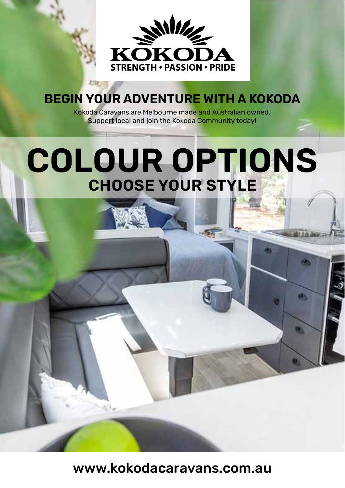

#### **BEGIN YOUR ADVENTURE WITH A KOKODA**

Kokoda Caravans are Melbourne made and Australian owned. Support local and join the Kokoda Community today!

#### **COLOUR OPTIONS CHOOSE YOUR STYLE**

 $\bullet$ 

Ø.

www.kokodacaravans.com.au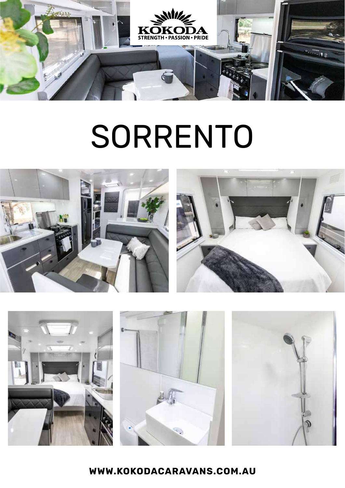

# SORRENTO



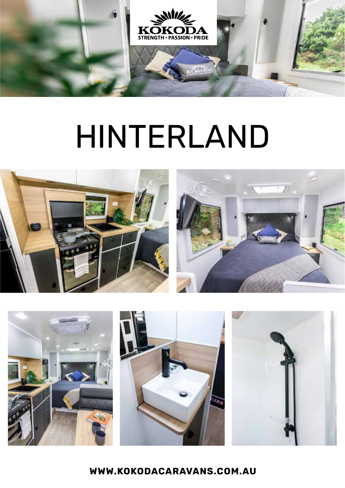

### HINTERLAND



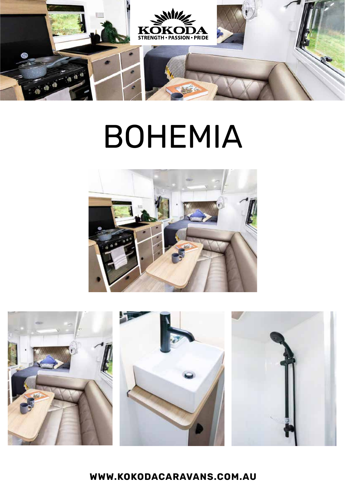

# BOHEMIA



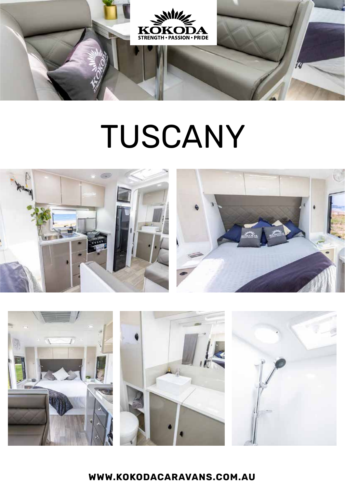

### TUSCANY